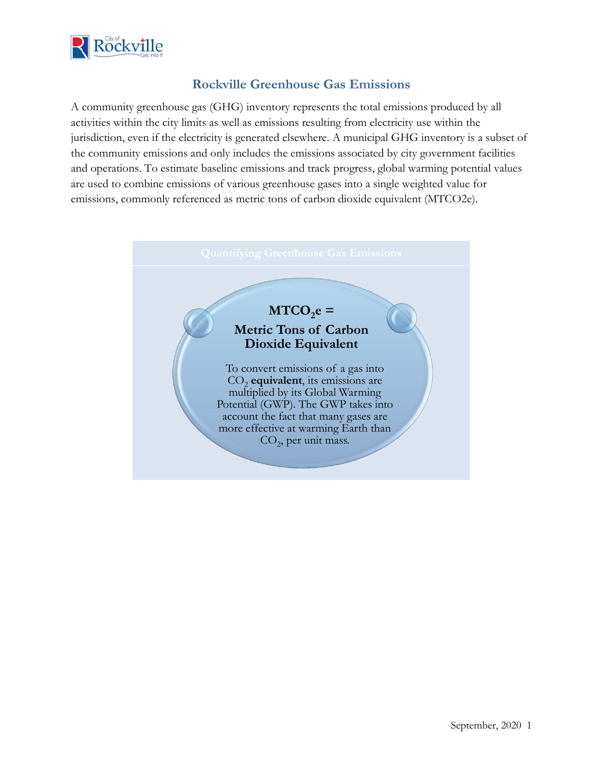

## **Rockville Greenhouse Gas Emissions**

A community greenhouse gas (GHG) inventory represents the total emissions produced by all activities within the city limits as well as emissions resulting from electricity use within the jurisdiction, even if the electricity is generated elsewhere. A municipal GHG inventory is a subset of the community emissions and only includes the emissions associated by city government facilities and operations. To estimate baseline emissions and track progress, global warming potential values are used to combine emissions of various greenhouse gases into a single weighted value for emissions, commonly referenced as metric tons of carbon dioxide equivalent (MTCO2e).

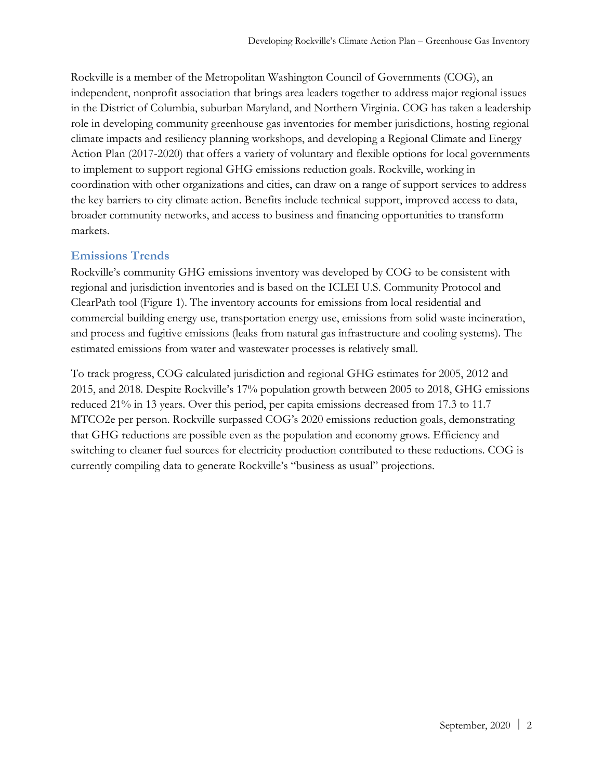Rockville is a member of the Metropolitan Washington Council of Governments (COG), an independent, nonprofit association that brings area leaders together to address major regional issues in the District of Columbia, suburban Maryland, and Northern Virginia. COG has taken a leadership role in developing community greenhouse gas inventories for member jurisdictions, hosting regional climate impacts and resiliency planning workshops, and developing a Regional Climate and Energy Action Plan (2017-2020) that offers a variety of voluntary and flexible options for local governments to implement to support regional GHG emissions reduction goals. Rockville, working in coordination with other organizations and cities, can draw on a range of support services to address the key barriers to city climate action. Benefits include technical support, improved access to data, broader community networks, and access to business and financing opportunities to transform markets.

#### **Emissions Trends**

Rockville's community GHG emissions inventory was developed by COG to be consistent with regional and jurisdiction inventories and is based on the ICLEI U.S. Community Protocol and ClearPath tool (Figure 1). The inventory accounts for emissions from local residential and commercial building energy use, transportation energy use, emissions from solid waste incineration, and process and fugitive emissions (leaks from natural gas infrastructure and cooling systems). The estimated emissions from water and wastewater processes is relatively small.

To track progress, COG calculated jurisdiction and regional GHG estimates for 2005, 2012 and 2015, and 2018. Despite Rockville's 17% population growth between 2005 to 2018, GHG emissions reduced 21% in 13 years. Over this period, per capita emissions decreased from 17.3 to 11.7 MTCO2e per person. Rockville surpassed COG's 2020 emissions reduction goals, demonstrating that GHG reductions are possible even as the population and economy grows. Efficiency and switching to cleaner fuel sources for electricity production contributed to these reductions. COG is currently compiling data to generate Rockville's "business as usual" projections.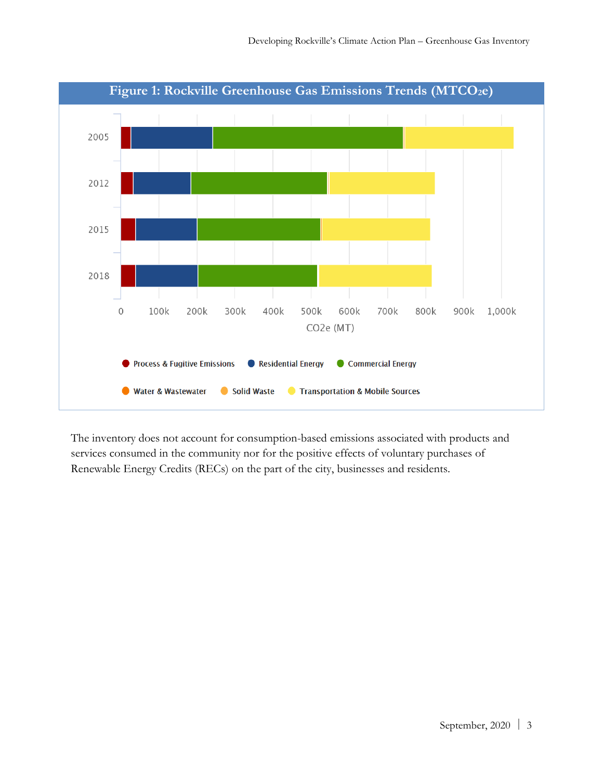

The inventory does not account for consumption-based emissions associated with products and services consumed in the community nor for the positive effects of voluntary purchases of Renewable Energy Credits (RECs) on the part of the city, businesses and residents.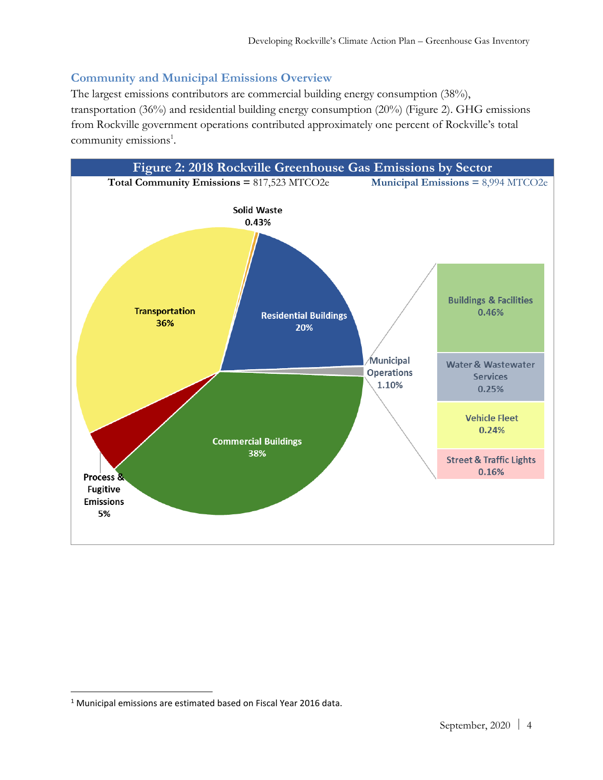# **Community and Municipal Emissions Overview**

The largest emissions contributors are commercial building energy consumption (38%), transportation (36%) and residential building energy consumption (20%) (Figure 2). GHG emissions from Rockville government operations contributed approximately one percent of Rockville's total community emissions<sup>1</sup>.



<sup>1</sup> Municipal emissions are estimated based on Fiscal Year 2016 data.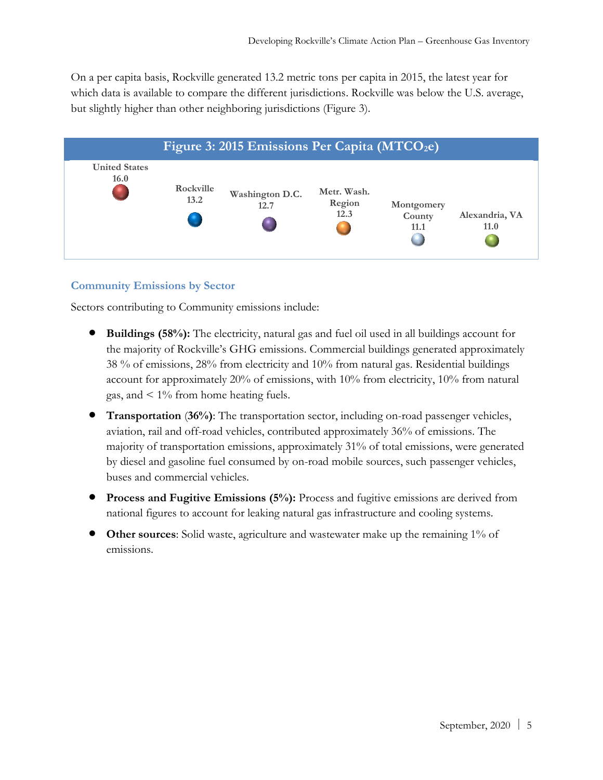On a per capita basis, Rockville generated 13.2 metric tons per capita in 2015, the latest year for which data is available to compare the different jurisdictions. Rockville was below the U.S. average, but slightly higher than other neighboring jurisdictions (Figure 3).



#### **Community Emissions by Sector**

Sectors contributing to Community emissions include:

- **Buildings (58%):** The electricity, natural gas and fuel oil used in all buildings account for the majority of Rockville's GHG emissions. Commercial buildings generated approximately 38 % of emissions, 28% from electricity and 10% from natural gas. Residential buildings account for approximately 20% of emissions, with 10% from electricity, 10% from natural gas, and  $\leq 1\%$  from home heating fuels.
- **Transportation** (**36%)**: The transportation sector, including on-road passenger vehicles, aviation, rail and off-road vehicles, contributed approximately 36% of emissions. The majority of transportation emissions, approximately 31% of total emissions, were generated by diesel and gasoline fuel consumed by on-road mobile sources, such passenger vehicles, buses and commercial vehicles.
- **Process and Fugitive Emissions (5%):** Process and fugitive emissions are derived from national figures to account for leaking natural gas infrastructure and cooling systems.
- **Other sources**: Solid waste, agriculture and wastewater make up the remaining 1% of emissions.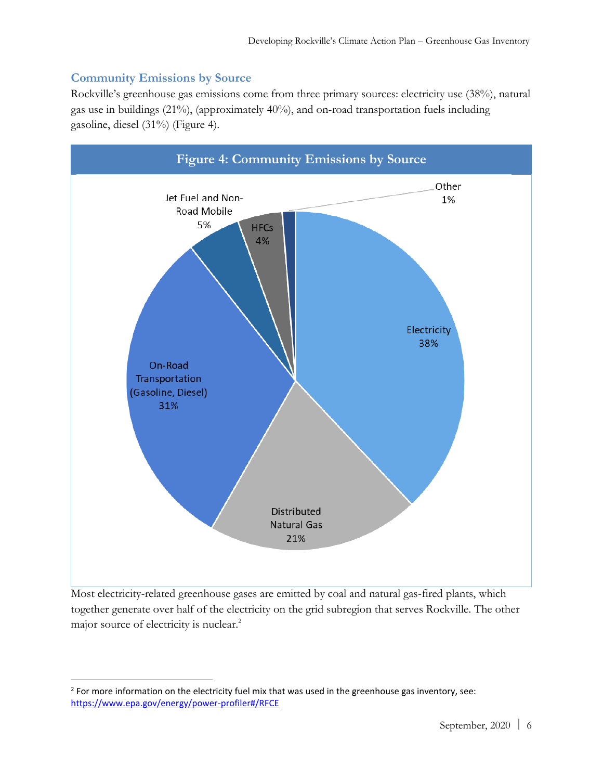### **Community Emissions by Source**

Rockville's greenhouse gas emissions come from three primary sources: electricity use (38%), natural gas use in buildings (21%), (approximately 40%), and on-road transportation fuels including gasoline, diesel (31%) (Figure 4).



Most electricity-related greenhouse gases are emitted by coal and natural gas-fired plants, which together generate over half of the electricity on the grid subregion that serves Rockville. The other major source of electricity is nuclear.<sup>2</sup>

 $2$  For more information on the electricity fuel mix that was used in the greenhouse gas inventory, see: <https://www.epa.gov/energy/power-profiler#/RFCE>